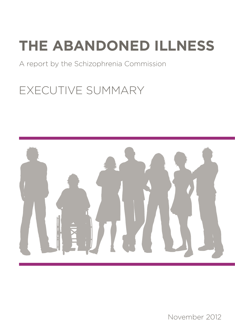#### A report by the Schizophrenia Commission

### EXECUTIVE SUMMARY



November 2012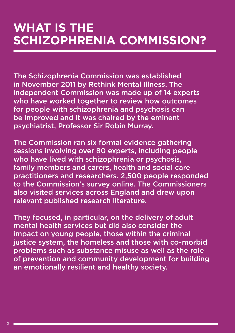#### **WHAT IS THE SCHIZOPHRENIA COMMISSION?**

The Schizophrenia Commission was established in November 2011 by Rethink Mental Illness. The independent Commission was made up of 14 experts who have worked together to review how outcomes for people with schizophrenia and psychosis can be improved and it was chaired by the eminent psychiatrist, Professor Sir Robin Murray.

The Commission ran six formal evidence gathering sessions involving over 80 experts, including people who have lived with schizophrenia or psychosis, family members and carers, health and social care practitioners and researchers. 2,500 people responded to the Commission's survey online. The Commissioners also visited services across England and drew upon relevant published research literature.

They focused, in particular, on the delivery of adult mental health services but did also consider the impact on young people, those within the criminal justice system, the homeless and those with co-morbid problems such as substance misuse as well as the role of prevention and community development for building an emotionally resilient and healthy society.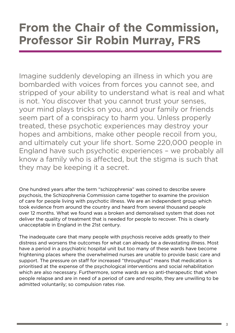#### **From the Chair of the Commission, Professor Sir Robin Murray, FRS**

Imagine suddenly developing an illness in which you are bombarded with voices from forces you cannot see, and stripped of your ability to understand what is real and what is not. You discover that you cannot trust your senses, your mind plays tricks on you, and your family or friends seem part of a conspiracy to harm you. Unless properly treated, these psychotic experiences may destroy your hopes and ambitions, make other people recoil from you, and ultimately cut your life short. Some 220,000 people in England have such psychotic experiences – we probably all know a family who is affected, but the stigma is such that they may be keeping it a secret.

One hundred years after the term "schizophrenia" was coined to describe severe psychosis, the Schizophrenia Commission came together to examine the provision of care for people living with psychotic illness. We are an independent group which took evidence from around the country and heard from several thousand people over 12 months. What we found was a broken and demoralised system that does not deliver the quality of treatment that is needed for people to recover. This is clearly unacceptable in England in the 21st century.

The inadequate care that many people with psychosis receive adds greatly to their distress and worsens the outcomes for what can already be a devastating illness. Most have a period in a psychiatric hospital unit but too many of these wards have become frightening places where the overwhelmed nurses are unable to provide basic care and support. The pressure on staff for increased "throughput" means that medication is prioritised at the expense of the psychological interventions and social rehabilitation which are also necessary. Furthermore, some wards are so anti-therapeutic that when people relapse and are in need of a period of care and respite, they are unwilling to be admitted voluntarily; so compulsion rates rise.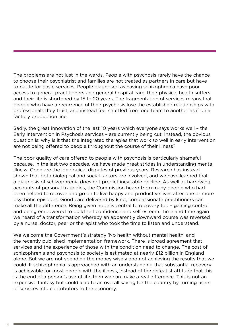The problems are not just in the wards. People with psychosis rarely have the chance to choose their psychiatrist and families are not treated as partners in care but have to battle for basic services. People diagnosed as having schizophrenia have poor access to general practitioners and general hospital care; their physical health suffers and their life is shortened by 15 to 20 years. The fragmentation of services means that people who have a recurrence of their psychosis lose the established relationships with professionals they trust, and instead feel shuttled from one team to another as if on a factory production line.

Sadly, the great innovation of the last 10 years which everyone says works well – the Early Intervention in Psychosis services – are currently being cut. Instead, the obvious question is: why is it that the integrated therapies that work so well in early intervention are not being offered to people throughout the course of their illness?

The poor quality of care offered to people with psychosis is particularly shameful because, in the last two decades, we have made great strides in understanding mental illness. Gone are the ideological disputes of previous years. Research has instead shown that both biological and social factors are involved, and we have learned that a diagnosis of schizophrenia does not predict inevitable decline. As well as harrowing accounts of personal tragedies, the Commission heard from many people who had been helped to recover and go on to live happy and productive lives after one or more psychotic episodes. Good care delivered by kind, compassionate practitioners can make all the difference. Being given hope is central to recovery too – gaining control and being empowered to build self confidence and self esteem. Time and time again we heard of a transformation whereby an apparently downward course was reversed by a nurse, doctor, peer or therapist who took the time to listen and understand.

We welcome the Government's strategy 'No health without mental health' and the recently published implementation framework. There is broad agreement that services and the experience of those with the condition need to change. The cost of schizophrenia and psychosis to society is estimated at nearly £12 billion in England alone. But we are not spending the money wisely and not achieving the results that we could. If schizophrenia is approached with an understanding that substantial recovery is achievable for most people with the illness, instead of the defeatist attitude that this is the end of a person's useful life, then we can make a real difference. This is not an expensive fantasy but could lead to an overall saving for the country by turning users of services into contributors to the economy.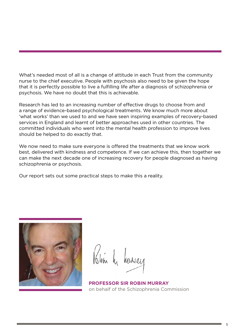What's needed most of all is a change of attitude in each Trust from the community nurse to the chief executive. People with psychosis also need to be given the hope that it is perfectly possible to live a fulfilling life after a diagnosis of schizophrenia or psychosis. We have no doubt that this is achievable.

Research has led to an increasing number of effective drugs to choose from and a range of evidence-based psychological treatments. We know much more about 'what works' than we used to and we have seen inspiring examples of recovery-based services in England and learnt of better approaches used in other countries. The committed individuals who went into the mental health profession to improve lives should be helped to do exactly that.

We now need to make sure everyone is offered the treatments that we know work best, delivered with kindness and competence. If we can achieve this, then together we can make the next decade one of increasing recovery for people diagnosed as having schizophrenia or psychosis.

Our report sets out some practical steps to make this a reality.



Khin h hurray

**PROFESSOR SIR ROBIN MURRAY**  on behalf of the Schizophrenia Commission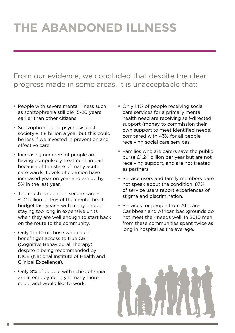From our evidence, we concluded that despite the clear progress made in some areas, it is unacceptable that:

- **People with severe mental illness such** as schizophrenia still die 15-20 years earlier than other citizens.
- **Schizophrenia and psychosis cost** society £11.8 billion a year but this could be less if we invested in prevention and effective care.
- **Increasing numbers of people are** having compulsory treatment, in part because of the state of many acute care wards. Levels of coercion have increased year on year and are up by 5% in the last year.
- Too much is spent on secure care £1.2 billion or 19% of the mental health budget last year – with many people staying too long in expensive units when they are well enough to start back on the route to the community.
- Only 1 in 10 of those who could benefit get access to true CBT (Cognitive Behavioural Therapy) despite it being recommended by NICE (National Institute of Health and Clinical Excellence).
- **Only 8% of people with schizophrenia** are in employment, yet many more could and would like to work.
- **Only 14% of people receiving social** care services for a primary mental health need are receiving self-directed support (money to commission their own support to meet identified needs) compared with 43% for all people receiving social care services.
- **Families who are carers save the public** purse £1.24 billion per year but are not receiving support, and are not treated as partners.
- **Service users and family members dare** not speak about the condition. 87% of service users report experiences of stigma and discrimination.
- **Services for people from African-**Caribbean and African backgrounds do not meet their needs well. In 2010 men from these communities spent twice as long in hospital as the average.

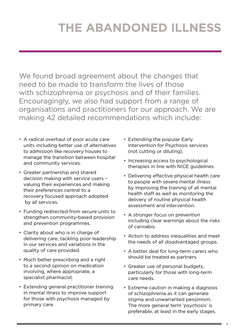We found broad agreement about the changes that need to be made to transform the lives of those with schizophrenia or psychosis and of their families. Encouragingly, we also had support from a range of organisations and practitioners for our approach. We are making 42 detailed recommendations which include:

- A radical overhaul of poor acute care units including better use of alternatives to admission like recovery houses to manage the transition between hospital and community services.
- Greater partnership and shared decision making with service users – valuing their experiences and making their preferences central to a recovery focused approach adopted by all services.
- Funding redirected from secure units to strengthen community-based provision and prevention programmes.
- Clarity about who is in charge of delivering care, tackling poor leadership in our services and variations in the quality of care provided.
- Much better prescribing and a right to a second opinion on medication involving, where appropriate, a specialist pharmacist.
- **Extending general practitioner training** in mental illness to improve support for those with psychosis managed by primary care.
- **Extending the popular Early** Intervention for Psychosis services (not cutting or diluting).
- **Increasing access to psychological** therapies in line with NICE guidelines.
- Delivering effective physical health care to people with severe mental illness by improving the training of all mental health staff as well as monitoring the delivery of routine physical health assessment and intervention.
- A stronger focus on prevention including clear warnings about the risks of cannabis.
- Action to address inequalities and meet the needs of all disadvantaged groups.
- A better deal for long-term carers who should be treated as partners.
- Greater use of personal budgets, particularly for those with long-term care needs.
- **Extreme caution in making a diagnosis** of schizophrenia as it can generate stigma and unwarranted pessimism. The more general term 'psychosis' is preferable, at least in the early stages.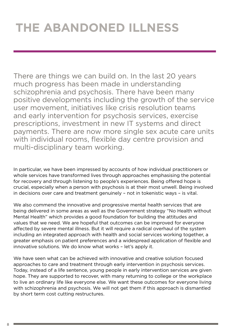There are things we can build on. In the last 20 years much progress has been made in understanding schizophrenia and psychosis. There have been many positive developments including the growth of the service user movement, initiatives like crisis resolution teams and early intervention for psychosis services, exercise prescriptions, investment in new IT systems and direct payments. There are now more single sex acute care units with individual rooms, flexible day centre provision and multi-disciplinary team working.

In particular, we have been impressed by accounts of how individual practitioners or whole services have transformed lives through approaches emphasising the potential for recovery and through listening to people's experiences. Being offered hope is crucial, especially when a person with psychosis is at their most unwell. Being involved in decisions over care and treatment genuinely – not in tokenistic ways – is vital.

We also commend the innovative and progressive mental health services that are being delivered in some areas as well as the Government strategy "No Health without Mental Health" which provides a good foundation for building the attitudes and values that we need. We are hopeful that outcomes can be improved for everyone affected by severe mental illness. But it will require a radical overhaul of the system including an integrated approach with health and social services working together, a greater emphasis on patient preferences and a widespread application of flexible and innovative solutions. We do know what works – let's apply it.

We have seen what can be achieved with innovative and creative solution focused approaches to care and treatment through early intervention in psychosis services. Today, instead of a life sentence, young people in early intervention services are given hope. They are supported to recover, with many returning to college or the workplace to live an ordinary life like everyone else. We want these outcomes for everyone living with schizophrenia and psychosis. We will not get them if this approach is dismantled by short term cost cutting restructures.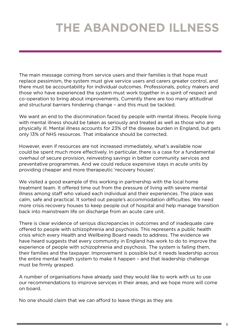The main message coming from service users and their families is that hope must replace pessimism, the system must give service users and carers greater control, and there must be accountability for individual outcomes. Professionals, policy makers and those who have experienced the system must work together in a spirit of respect and co-operation to bring about improvements. Currently there are too many attitudinal and structural barriers hindering change – and this must be tackled.

We want an end to the discrimination faced by people with mental illness. People living with mental illness should be taken as seriously and treated as well as those who are physically ill. Mental illness accounts for 23% of the disease burden in England, but gets only 13% of NHS resources. That imbalance should be corrected.

However, even if resources are not increased immediately, what's available now could be spent much more effectively. In particular, there is a case for a fundamental overhaul of secure provision, reinvesting savings in better community services and preventative programmes. And we could reduce expensive stays in acute units by providing cheaper and more therapeutic 'recovery houses'.

We visited a good example of this working in partnership with the local home treatment team. It offered time out from the pressure of living with severe mental illness among staff who valued each individual and their experiences. The place was calm, safe and practical. It sorted out people's accommodation difficulties. We need more crisis recovery houses to keep people out of hospital and help manage transition back into mainstream life on discharge from an acute care unit.

There is clear evidence of serious discrepancies in outcomes and of inadequate care offered to people with schizophrenia and psychosis. This represents a public health crisis which every Health and Wellbeing Board needs to address. The evidence we have heard suggests that every community in England has work to do to improve the experience of people with schizophrenia and psychosis. The system is failing them, their families and the taxpayer. Improvement is possible but it needs leadership across the entire mental health system to make it happen – and that leadership challenge must be firmly grasped.

A number of organisations have already said they would like to work with us to use our recommendations to improve services in their areas, and we hope more will come on board.

No one should claim that we can afford to leave things as they are.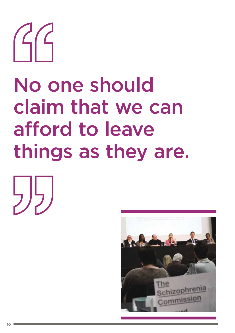

# No one should claim that we can afford to leave things as they are.



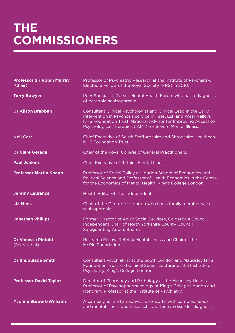### **THE COMMISSIONERS**

| <b>Professor Sir Robin Murray</b><br>(Chair) | Professor of Psychiatric Research at the Institute of Psychiatry.<br>Elected a Fellow of the Royal Society (FRS) in 2010.                                                                                                                                         |
|----------------------------------------------|-------------------------------------------------------------------------------------------------------------------------------------------------------------------------------------------------------------------------------------------------------------------|
| <b>Terry Bowyer</b>                          | Peer Specialist, Dorset Mental Health Forum who has a diagnosis<br>of paranoid schizophrenia.                                                                                                                                                                     |
| <b>Dr Alison Brabban</b>                     | Consultant Clinical Psychologist and Clinical Lead in the Early<br>Intervention in Psychosis service in Tees, Esk and Wear Valleys<br>NHS Foundation Trust. National Advisor for Improving Access to<br>Psychological Therapies (IAPT) for Severe Mental Illness. |
| <b>Neil Carr</b>                             | Chief Executive of South Staffordshire and Shropshire Healthcare<br><b>NHS Foundation Trust.</b>                                                                                                                                                                  |
| <b>Dr Clare Gerada</b>                       | Chair of the Royal College of General Practitioners.                                                                                                                                                                                                              |
| <b>Paul Jenkins</b>                          | Chief Executive of Rethink Mental Illness.                                                                                                                                                                                                                        |
| <b>Professor Martin Knapp</b>                | Professor of Social Policy at London School of Economics and<br>Political Science and Professor of Health Economics in the Centre<br>for the Economics of Mental Health, King's College London.                                                                   |
| <b>Jeremy Laurance</b>                       | Health Editor of The Independent.                                                                                                                                                                                                                                 |
| <b>Liz Meek</b>                              | Chair of the Centre for London who has a family member with<br>schizophrenia.                                                                                                                                                                                     |
| <b>Jonathan Phillips</b>                     | Former Director of Adult Social Services, Calderdale Council.<br><b>Independent Chair of North Yorkshire County Council</b><br>Safeguarding Adults Board.                                                                                                         |
| <b>Dr Vanessa Pinfold</b><br>(Secretariat)   | Research Fellow, Rethink Mental Illness and Chair of the<br>McPin Foundation.                                                                                                                                                                                     |
| <b>Dr Shubulade Smith</b>                    | Consultant Psychiatrist at the South London and Maudsley NHS<br>Foundation Trust and Clinical Senior Lecturer at the Institute of<br>Psychiatry, King's College London.                                                                                           |
| <b>Professor David Taylor</b>                | Director of Pharmacy and Pathology at the Maudsley Hospital,<br>Professor of Psychopharmacology at King's College London and<br>Honorary Professor at the Institute of Psychiatry.                                                                                |
| <b>Yvonne Stewart-Williams</b>               | A campaigner and an activist who works with complex needs<br>and mental illness and has a schizo-affective disorder diagnosis.                                                                                                                                    |